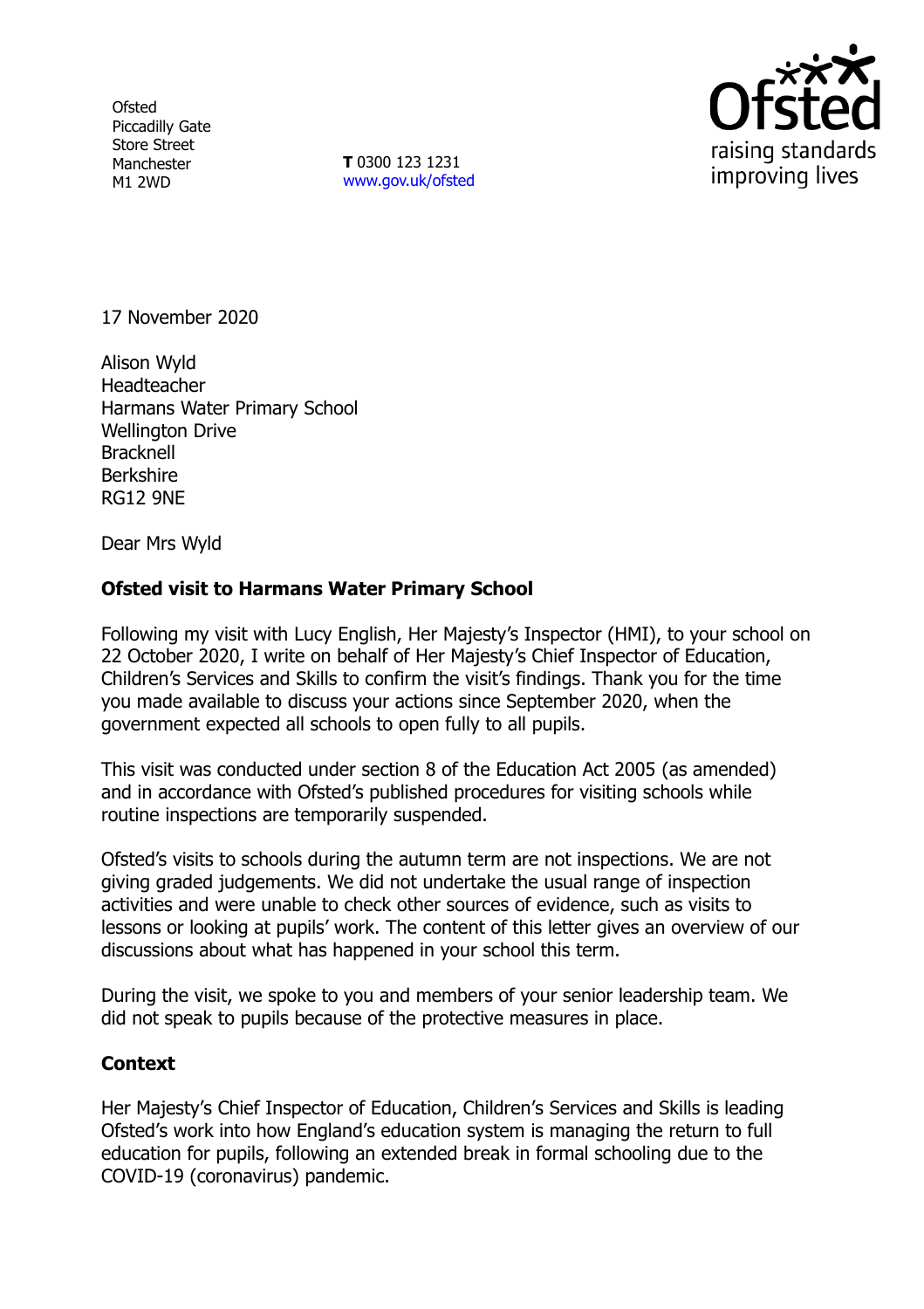**Ofsted** Piccadilly Gate Store Street Manchester M1 2WD

**T** 0300 123 1231 [www.gov.uk/ofsted](http://www.gov.uk/ofsted)



17 November 2020

Alison Wyld **Headteacher** Harmans Water Primary School Wellington Drive **Bracknell** Berkshire RG12 9NE

Dear Mrs Wyld

## **Ofsted visit to Harmans Water Primary School**

Following my visit with Lucy English, Her Majesty's Inspector (HMI), to your school on 22 October 2020, I write on behalf of Her Majesty's Chief Inspector of Education, Children's Services and Skills to confirm the visit's findings. Thank you for the time you made available to discuss your actions since September 2020, when the government expected all schools to open fully to all pupils.

This visit was conducted under section 8 of the Education Act 2005 (as amended) and in accordance with Ofsted's published procedures for visiting schools while routine inspections are temporarily suspended.

Ofsted's visits to schools during the autumn term are not inspections. We are not giving graded judgements. We did not undertake the usual range of inspection activities and were unable to check other sources of evidence, such as visits to lessons or looking at pupils' work. The content of this letter gives an overview of our discussions about what has happened in your school this term.

During the visit, we spoke to you and members of your senior leadership team. We did not speak to pupils because of the protective measures in place.

## **Context**

Her Majesty's Chief Inspector of Education, Children's Services and Skills is leading Ofsted's work into how England's education system is managing the return to full education for pupils, following an extended break in formal schooling due to the COVID-19 (coronavirus) pandemic.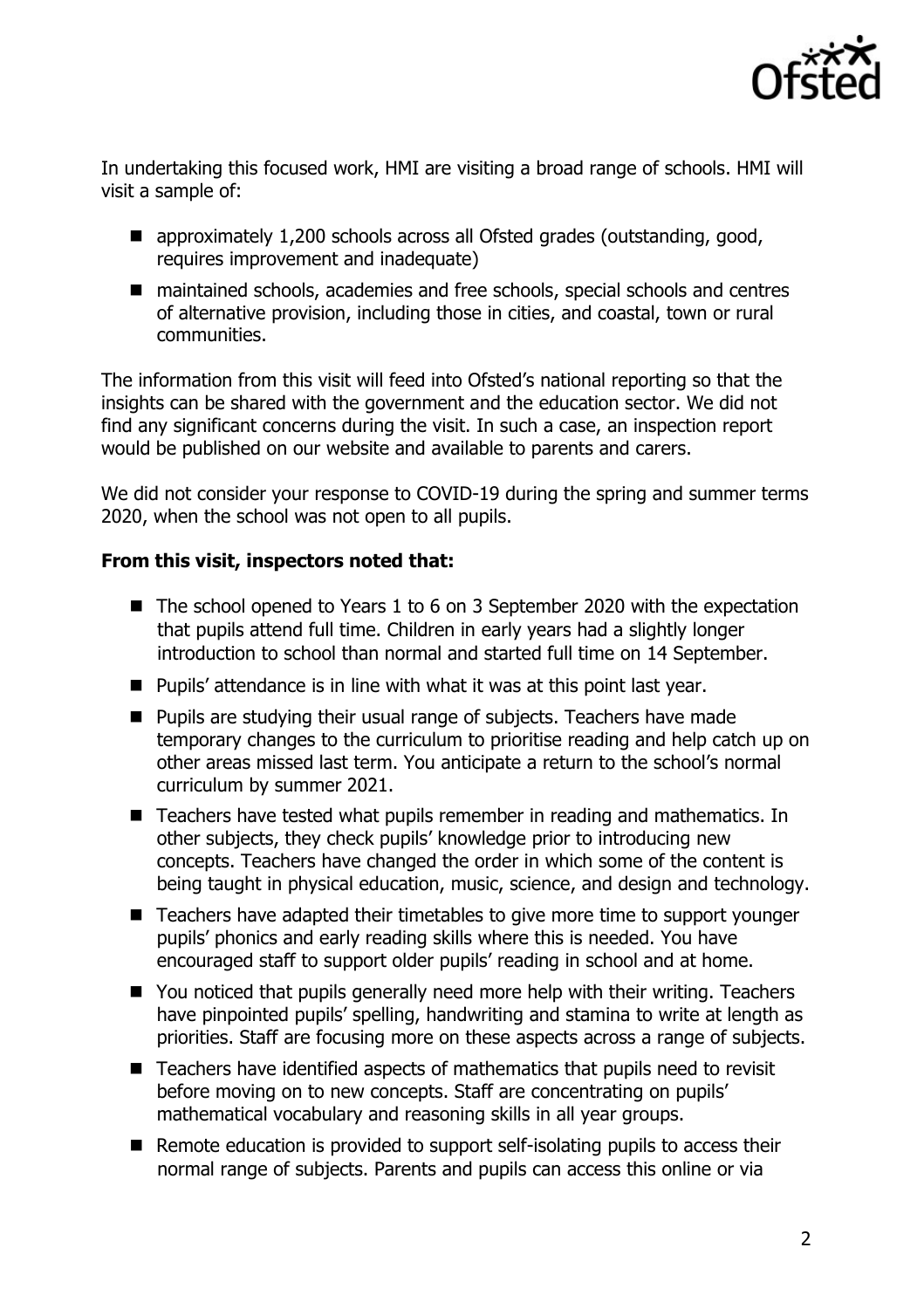

In undertaking this focused work, HMI are visiting a broad range of schools. HMI will visit a sample of:

- approximately 1,200 schools across all Ofsted grades (outstanding, good, requires improvement and inadequate)
- maintained schools, academies and free schools, special schools and centres of alternative provision, including those in cities, and coastal, town or rural communities.

The information from this visit will feed into Ofsted's national reporting so that the insights can be shared with the government and the education sector. We did not find any significant concerns during the visit. In such a case, an inspection report would be published on our website and available to parents and carers.

We did not consider your response to COVID-19 during the spring and summer terms 2020, when the school was not open to all pupils.

## **From this visit, inspectors noted that:**

- The school opened to Years 1 to 6 on 3 September 2020 with the expectation that pupils attend full time. Children in early years had a slightly longer introduction to school than normal and started full time on 14 September.
- $\blacksquare$  Pupils' attendance is in line with what it was at this point last year.
- Pupils are studying their usual range of subjects. Teachers have made temporary changes to the curriculum to prioritise reading and help catch up on other areas missed last term. You anticipate a return to the school's normal curriculum by summer 2021.
- Teachers have tested what pupils remember in reading and mathematics. In other subjects, they check pupils' knowledge prior to introducing new concepts. Teachers have changed the order in which some of the content is being taught in physical education, music, science, and design and technology.
- Teachers have adapted their timetables to give more time to support vounger pupils' phonics and early reading skills where this is needed. You have encouraged staff to support older pupils' reading in school and at home.
- You noticed that pupils generally need more help with their writing. Teachers have pinpointed pupils' spelling, handwriting and stamina to write at length as priorities. Staff are focusing more on these aspects across a range of subjects.
- Teachers have identified aspects of mathematics that pupils need to revisit before moving on to new concepts. Staff are concentrating on pupils' mathematical vocabulary and reasoning skills in all year groups.
- Remote education is provided to support self-isolating pupils to access their normal range of subjects. Parents and pupils can access this online or via